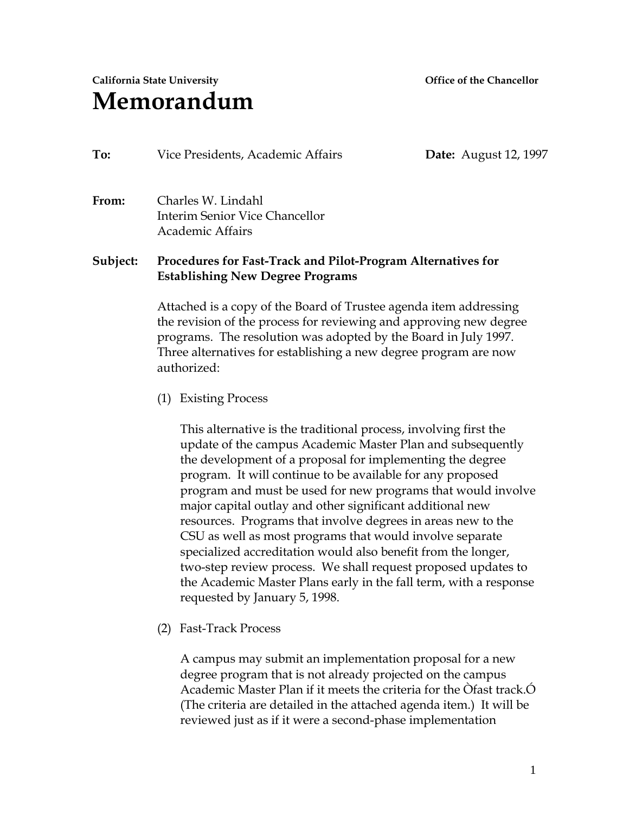# **California State University Office of the Chancellor Memorandum**

## **To:** Vice Presidents, Academic Affairs **Date:** August 12, 1997

**From:** Charles W. Lindahl Interim Senior Vice Chancellor Academic Affairs

#### **Subject: Procedures for Fast-Track and Pilot-Program Alternatives for Establishing New Degree Programs**

Attached is a copy of the Board of Trustee agenda item addressing the revision of the process for reviewing and approving new degree programs. The resolution was adopted by the Board in July 1997. Three alternatives for establishing a new degree program are now authorized:

(1) Existing Process

This alternative is the traditional process, involving first the update of the campus Academic Master Plan and subsequently the development of a proposal for implementing the degree program. It will continue to be available for any proposed program and must be used for new programs that would involve major capital outlay and other significant additional new resources. Programs that involve degrees in areas new to the CSU as well as most programs that would involve separate specialized accreditation would also benefit from the longer, two-step review process. We shall request proposed updates to the Academic Master Plans early in the fall term, with a response requested by January 5, 1998.

(2) Fast-Track Process

A campus may submit an implementation proposal for a new degree program that is not already projected on the campus Academic Master Plan if it meets the criteria for the Òfast track.Ó (The criteria are detailed in the attached agenda item.) It will be reviewed just as if it were a second-phase implementation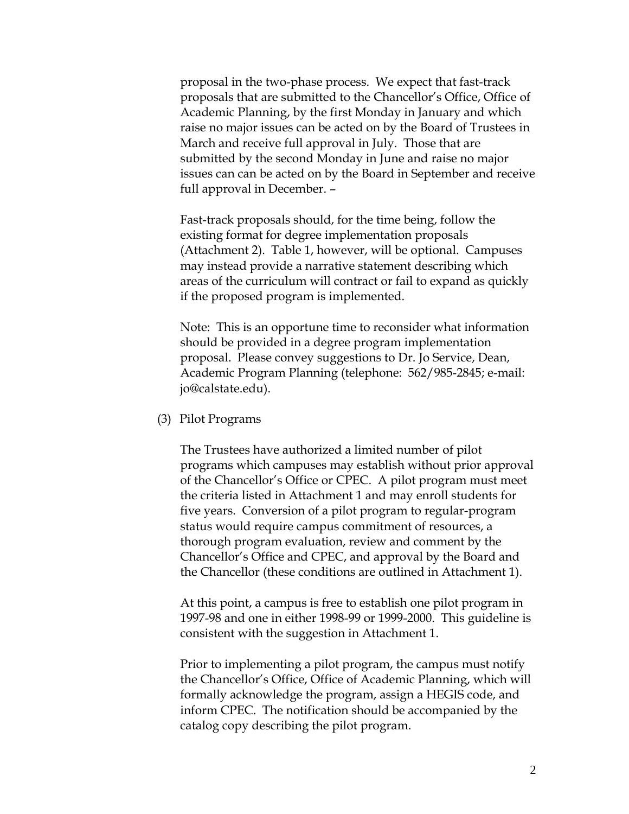proposal in the two-phase process. We expect that fast-track proposals that are submitted to the Chancellor's Office, Office of Academic Planning, by the first Monday in January and which raise no major issues can be acted on by the Board of Trustees in March and receive full approval in July. Those that are submitted by the second Monday in June and raise no major issues can can be acted on by the Board in September and receive full approval in December. –

Fast-track proposals should, for the time being, follow the existing format for degree implementation proposals (Attachment 2). Table 1, however, will be optional. Campuses may instead provide a narrative statement describing which areas of the curriculum will contract or fail to expand as quickly if the proposed program is implemented.

Note: This is an opportune time to reconsider what information should be provided in a degree program implementation proposal. Please convey suggestions to Dr. Jo Service, Dean, Academic Program Planning (telephone: 562/985-2845; e-mail: jo@calstate.edu).

(3) Pilot Programs

The Trustees have authorized a limited number of pilot programs which campuses may establish without prior approval of the Chancellor's Office or CPEC. A pilot program must meet the criteria listed in Attachment 1 and may enroll students for five years. Conversion of a pilot program to regular-program status would require campus commitment of resources, a thorough program evaluation, review and comment by the Chancellor's Office and CPEC, and approval by the Board and the Chancellor (these conditions are outlined in Attachment 1).

At this point, a campus is free to establish one pilot program in 1997-98 and one in either 1998-99 or 1999-2000. This guideline is consistent with the suggestion in Attachment 1.

Prior to implementing a pilot program, the campus must notify the Chancellor's Office, Office of Academic Planning, which will formally acknowledge the program, assign a HEGIS code, and inform CPEC. The notification should be accompanied by the catalog copy describing the pilot program.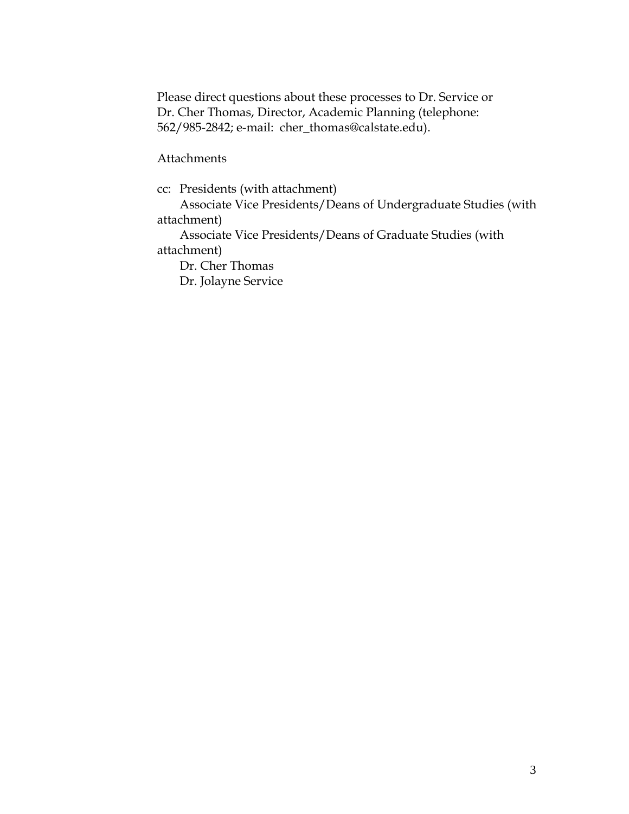Please direct questions about these processes to Dr. Service or Dr. Cher Thomas, Director, Academic Planning (telephone: 562/985-2842; e-mail: cher\_thomas@calstate.edu).

Attachments

cc: Presidents (with attachment) Associate Vice Presidents/Deans of Undergraduate Studies (with attachment)

 Associate Vice Presidents/Deans of Graduate Studies (with attachment)

Dr. Cher Thomas

Dr. Jolayne Service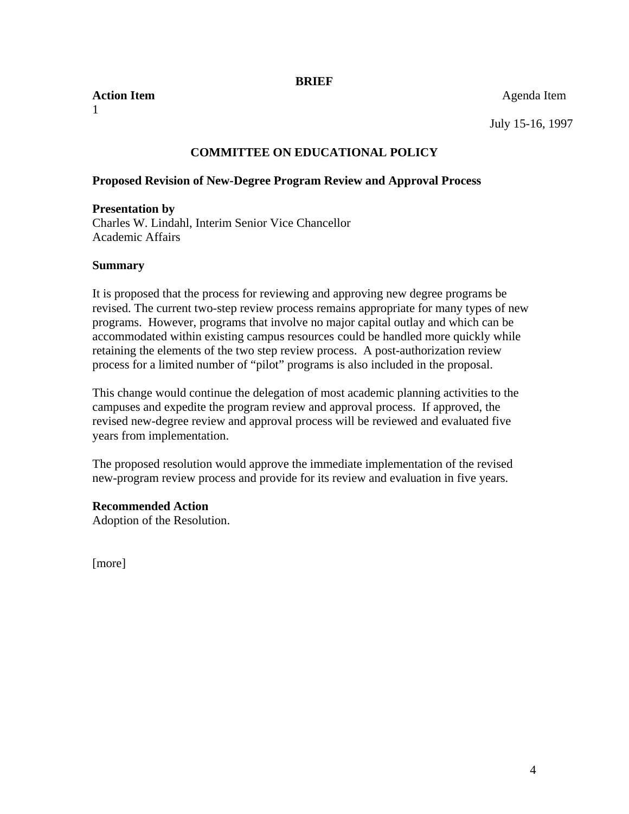#### **BRIEF**

1

**Action Item** Agenda Item

July 15-16, 1997

#### **COMMITTEE ON EDUCATIONAL POLICY**

#### **Proposed Revision of New-Degree Program Review and Approval Process**

#### **Presentation by**

Charles W. Lindahl, Interim Senior Vice Chancellor Academic Affairs

#### **Summary**

It is proposed that the process for reviewing and approving new degree programs be revised. The current two-step review process remains appropriate for many types of new programs. However, programs that involve no major capital outlay and which can be accommodated within existing campus resources could be handled more quickly while retaining the elements of the two step review process. A post-authorization review process for a limited number of "pilot" programs is also included in the proposal.

This change would continue the delegation of most academic planning activities to the campuses and expedite the program review and approval process. If approved, the revised new-degree review and approval process will be reviewed and evaluated five years from implementation.

The proposed resolution would approve the immediate implementation of the revised new-program review process and provide for its review and evaluation in five years.

#### **Recommended Action**

Adoption of the Resolution.

[more]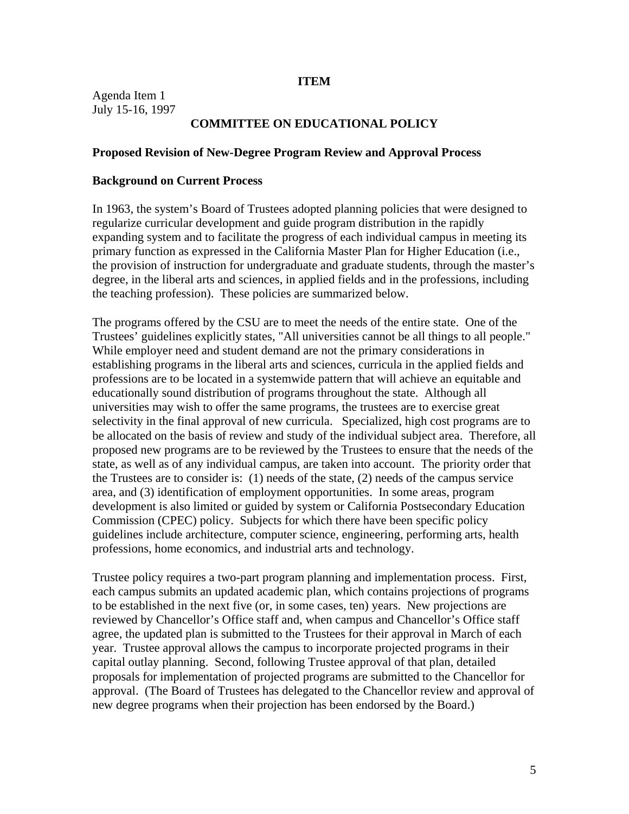#### **ITEM**

Agenda Item 1 July 15-16, 1997

#### **COMMITTEE ON EDUCATIONAL POLICY**

#### **Proposed Revision of New-Degree Program Review and Approval Process**

#### **Background on Current Process**

In 1963, the system's Board of Trustees adopted planning policies that were designed to regularize curricular development and guide program distribution in the rapidly expanding system and to facilitate the progress of each individual campus in meeting its primary function as expressed in the California Master Plan for Higher Education (i.e., the provision of instruction for undergraduate and graduate students, through the master's degree, in the liberal arts and sciences, in applied fields and in the professions, including the teaching profession). These policies are summarized below.

The programs offered by the CSU are to meet the needs of the entire state. One of the Trustees' guidelines explicitly states, "All universities cannot be all things to all people." While employer need and student demand are not the primary considerations in establishing programs in the liberal arts and sciences, curricula in the applied fields and professions are to be located in a systemwide pattern that will achieve an equitable and educationally sound distribution of programs throughout the state. Although all universities may wish to offer the same programs, the trustees are to exercise great selectivity in the final approval of new curricula. Specialized, high cost programs are to be allocated on the basis of review and study of the individual subject area. Therefore, all proposed new programs are to be reviewed by the Trustees to ensure that the needs of the state, as well as of any individual campus, are taken into account. The priority order that the Trustees are to consider is: (1) needs of the state, (2) needs of the campus service area, and (3) identification of employment opportunities. In some areas, program development is also limited or guided by system or California Postsecondary Education Commission (CPEC) policy. Subjects for which there have been specific policy guidelines include architecture, computer science, engineering, performing arts, health professions, home economics, and industrial arts and technology.

Trustee policy requires a two-part program planning and implementation process. First, each campus submits an updated academic plan, which contains projections of programs to be established in the next five (or, in some cases, ten) years. New projections are reviewed by Chancellor's Office staff and, when campus and Chancellor's Office staff agree, the updated plan is submitted to the Trustees for their approval in March of each year. Trustee approval allows the campus to incorporate projected programs in their capital outlay planning. Second, following Trustee approval of that plan, detailed proposals for implementation of projected programs are submitted to the Chancellor for approval. (The Board of Trustees has delegated to the Chancellor review and approval of new degree programs when their projection has been endorsed by the Board.)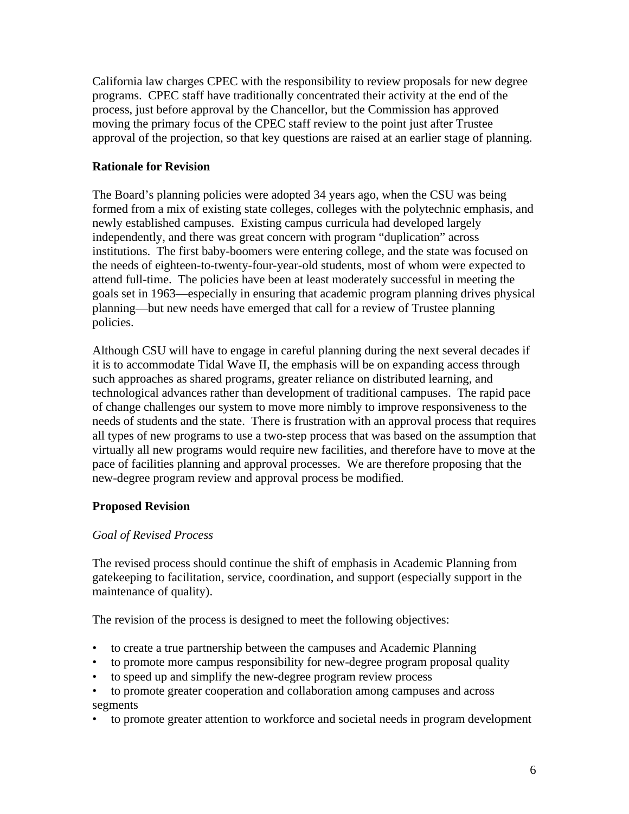California law charges CPEC with the responsibility to review proposals for new degree programs. CPEC staff have traditionally concentrated their activity at the end of the process, just before approval by the Chancellor, but the Commission has approved moving the primary focus of the CPEC staff review to the point just after Trustee approval of the projection, so that key questions are raised at an earlier stage of planning.

#### **Rationale for Revision**

The Board's planning policies were adopted 34 years ago, when the CSU was being formed from a mix of existing state colleges, colleges with the polytechnic emphasis, and newly established campuses. Existing campus curricula had developed largely independently, and there was great concern with program "duplication" across institutions. The first baby-boomers were entering college, and the state was focused on the needs of eighteen-to-twenty-four-year-old students, most of whom were expected to attend full-time. The policies have been at least moderately successful in meeting the goals set in 1963—especially in ensuring that academic program planning drives physical planning—but new needs have emerged that call for a review of Trustee planning policies.

Although CSU will have to engage in careful planning during the next several decades if it is to accommodate Tidal Wave II, the emphasis will be on expanding access through such approaches as shared programs, greater reliance on distributed learning, and technological advances rather than development of traditional campuses. The rapid pace of change challenges our system to move more nimbly to improve responsiveness to the needs of students and the state. There is frustration with an approval process that requires all types of new programs to use a two-step process that was based on the assumption that virtually all new programs would require new facilities, and therefore have to move at the pace of facilities planning and approval processes. We are therefore proposing that the new-degree program review and approval process be modified.

### **Proposed Revision**

#### *Goal of Revised Process*

The revised process should continue the shift of emphasis in Academic Planning from gatekeeping to facilitation, service, coordination, and support (especially support in the maintenance of quality).

The revision of the process is designed to meet the following objectives:

- to create a true partnership between the campuses and Academic Planning
- to promote more campus responsibility for new-degree program proposal quality
- to speed up and simplify the new-degree program review process
- to promote greater cooperation and collaboration among campuses and across segments
- to promote greater attention to workforce and societal needs in program development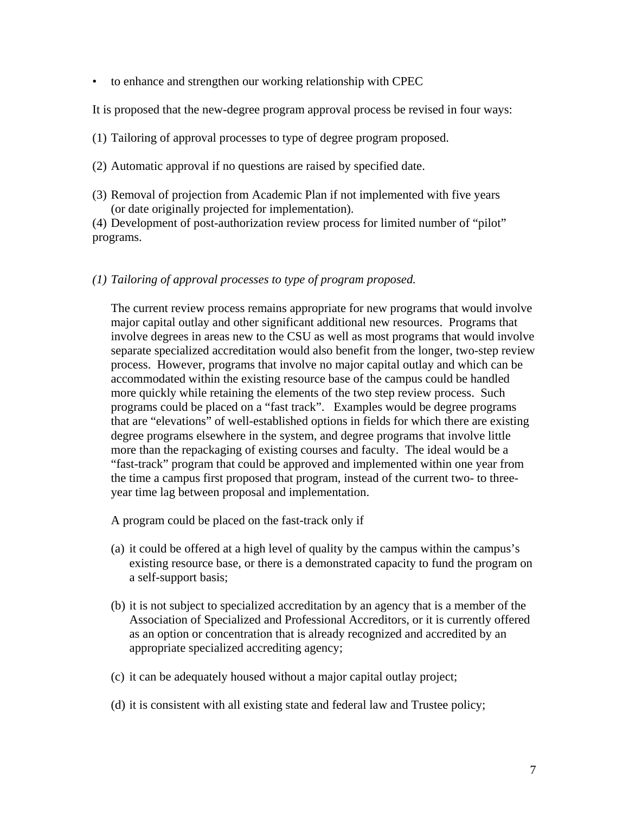• to enhance and strengthen our working relationship with CPEC

It is proposed that the new-degree program approval process be revised in four ways:

(1) Tailoring of approval processes to type of degree program proposed.

(2) Automatic approval if no questions are raised by specified date.

(3) Removal of projection from Academic Plan if not implemented with five years (or date originally projected for implementation).

(4) Development of post-authorization review process for limited number of "pilot" programs.

#### *(1) Tailoring of approval processes to type of program proposed.*

The current review process remains appropriate for new programs that would involve major capital outlay and other significant additional new resources. Programs that involve degrees in areas new to the CSU as well as most programs that would involve separate specialized accreditation would also benefit from the longer, two-step review process. However, programs that involve no major capital outlay and which can be accommodated within the existing resource base of the campus could be handled more quickly while retaining the elements of the two step review process. Such programs could be placed on a "fast track". Examples would be degree programs that are "elevations" of well-established options in fields for which there are existing degree programs elsewhere in the system, and degree programs that involve little more than the repackaging of existing courses and faculty. The ideal would be a "fast-track" program that could be approved and implemented within one year from the time a campus first proposed that program, instead of the current two- to threeyear time lag between proposal and implementation.

A program could be placed on the fast-track only if

- (a) it could be offered at a high level of quality by the campus within the campus's existing resource base, or there is a demonstrated capacity to fund the program on a self-support basis;
- (b) it is not subject to specialized accreditation by an agency that is a member of the Association of Specialized and Professional Accreditors, or it is currently offered as an option or concentration that is already recognized and accredited by an appropriate specialized accrediting agency;
- (c) it can be adequately housed without a major capital outlay project;
- (d) it is consistent with all existing state and federal law and Trustee policy;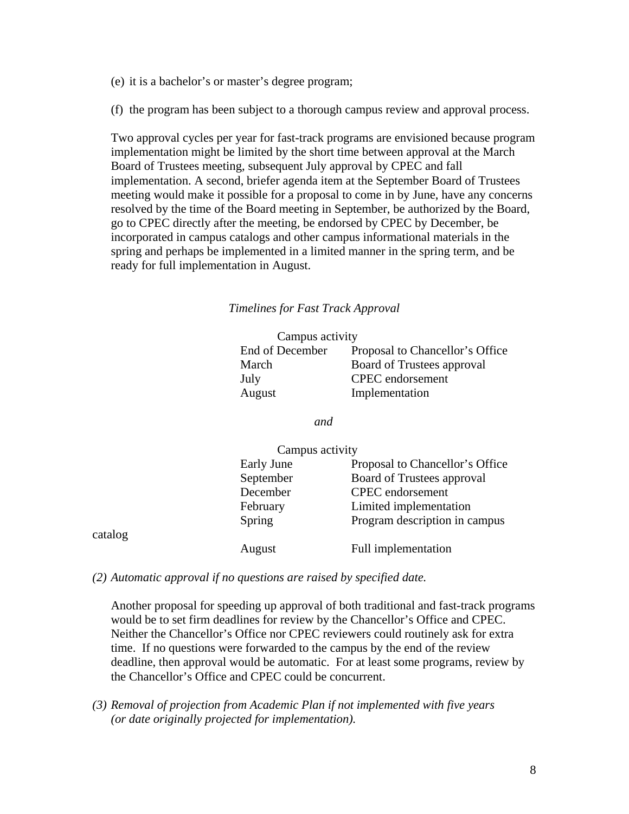(e) it is a bachelor's or master's degree program;

(f) the program has been subject to a thorough campus review and approval process.

Two approval cycles per year for fast-track programs are envisioned because program implementation might be limited by the short time between approval at the March Board of Trustees meeting, subsequent July approval by CPEC and fall implementation. A second, briefer agenda item at the September Board of Trustees meeting would make it possible for a proposal to come in by June, have any concerns resolved by the time of the Board meeting in September, be authorized by the Board, go to CPEC directly after the meeting, be endorsed by CPEC by December, be incorporated in campus catalogs and other campus informational materials in the spring and perhaps be implemented in a limited manner in the spring term, and be ready for full implementation in August.

*Timelines for Fast Track Approval* 

| Campus activity |                                 |
|-----------------|---------------------------------|
| End of December | Proposal to Chancellor's Office |
| March           | Board of Trustees approval      |
| July            | <b>CPEC</b> endorsement         |
| August          | Implementation                  |

*and*

|         | Campus activity |                                 |
|---------|-----------------|---------------------------------|
|         | Early June      | Proposal to Chancellor's Office |
|         | September       | Board of Trustees approval      |
|         | December        | CPEC endorsement                |
|         | February        | Limited implementation          |
|         | Spring          | Program description in campus   |
| catalog |                 |                                 |
|         | August          | Full implementation             |

*(2) Automatic approval if no questions are raised by specified date.* 

Another proposal for speeding up approval of both traditional and fast-track programs would be to set firm deadlines for review by the Chancellor's Office and CPEC. Neither the Chancellor's Office nor CPEC reviewers could routinely ask for extra time. If no questions were forwarded to the campus by the end of the review deadline, then approval would be automatic. For at least some programs, review by the Chancellor's Office and CPEC could be concurrent.

*(3) Removal of projection from Academic Plan if not implemented with five years (or date originally projected for implementation).*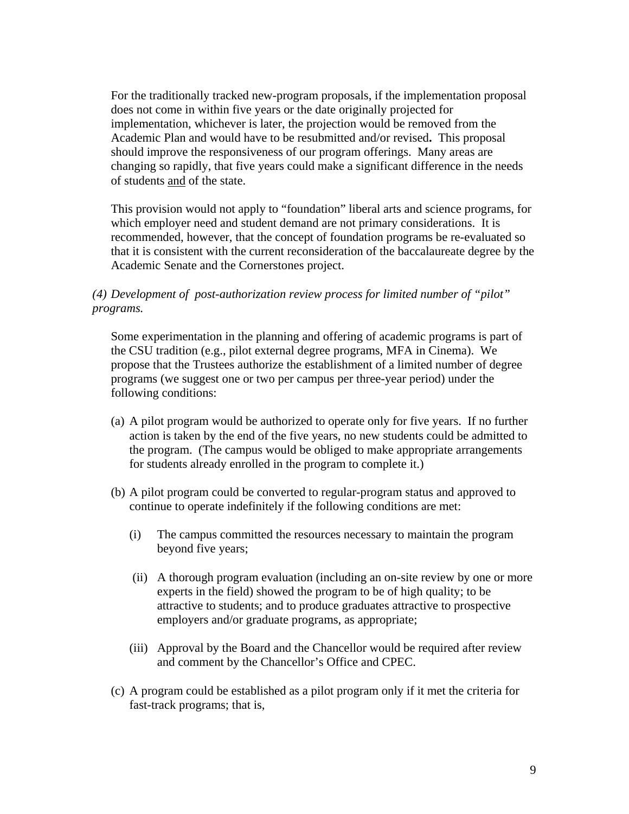For the traditionally tracked new-program proposals, if the implementation proposal does not come in within five years or the date originally projected for implementation, whichever is later, the projection would be removed from the Academic Plan and would have to be resubmitted and/or revised**.** This proposal should improve the responsiveness of our program offerings. Many areas are changing so rapidly, that five years could make a significant difference in the needs of students and of the state.

This provision would not apply to "foundation" liberal arts and science programs, for which employer need and student demand are not primary considerations. It is recommended, however, that the concept of foundation programs be re-evaluated so that it is consistent with the current reconsideration of the baccalaureate degree by the Academic Senate and the Cornerstones project.

#### *(4) Development of post-authorization review process for limited number of "pilot" programs.*

Some experimentation in the planning and offering of academic programs is part of the CSU tradition (e.g., pilot external degree programs, MFA in Cinema). We propose that the Trustees authorize the establishment of a limited number of degree programs (we suggest one or two per campus per three-year period) under the following conditions:

- (a) A pilot program would be authorized to operate only for five years. If no further action is taken by the end of the five years, no new students could be admitted to the program. (The campus would be obliged to make appropriate arrangements for students already enrolled in the program to complete it.)
- (b) A pilot program could be converted to regular-program status and approved to continue to operate indefinitely if the following conditions are met:
	- (i) The campus committed the resources necessary to maintain the program beyond five years;
	- (ii) A thorough program evaluation (including an on-site review by one or more experts in the field) showed the program to be of high quality; to be attractive to students; and to produce graduates attractive to prospective employers and/or graduate programs, as appropriate;
	- (iii) Approval by the Board and the Chancellor would be required after review and comment by the Chancellor's Office and CPEC.
- (c) A program could be established as a pilot program only if it met the criteria for fast-track programs; that is,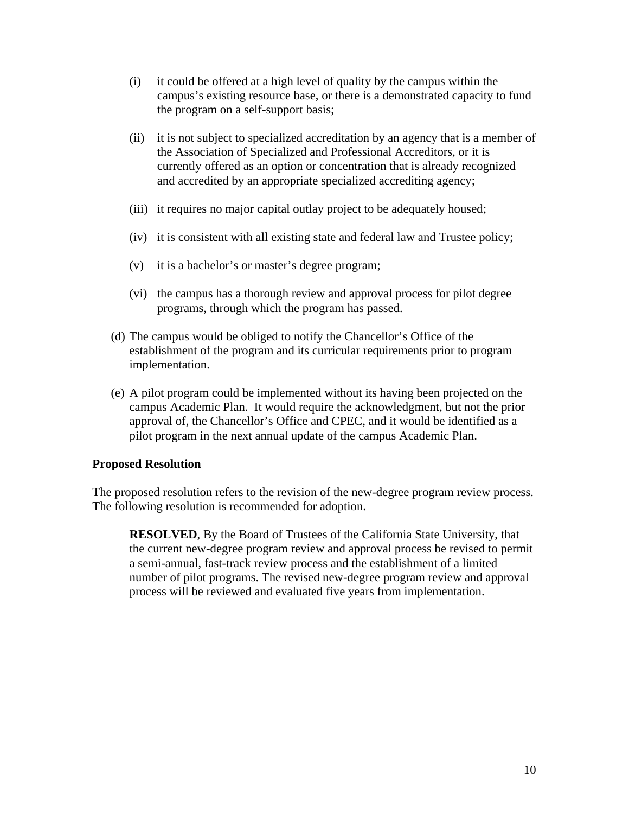- (i) it could be offered at a high level of quality by the campus within the campus's existing resource base, or there is a demonstrated capacity to fund the program on a self-support basis;
- (ii) it is not subject to specialized accreditation by an agency that is a member of the Association of Specialized and Professional Accreditors, or it is currently offered as an option or concentration that is already recognized and accredited by an appropriate specialized accrediting agency;
- (iii) it requires no major capital outlay project to be adequately housed;
- (iv) it is consistent with all existing state and federal law and Trustee policy;
- (v) it is a bachelor's or master's degree program;
- (vi) the campus has a thorough review and approval process for pilot degree programs, through which the program has passed.
- (d) The campus would be obliged to notify the Chancellor's Office of the establishment of the program and its curricular requirements prior to program implementation.
- (e) A pilot program could be implemented without its having been projected on the campus Academic Plan. It would require the acknowledgment, but not the prior approval of, the Chancellor's Office and CPEC, and it would be identified as a pilot program in the next annual update of the campus Academic Plan.

#### **Proposed Resolution**

The proposed resolution refers to the revision of the new-degree program review process. The following resolution is recommended for adoption.

**RESOLVED**, By the Board of Trustees of the California State University, that the current new-degree program review and approval process be revised to permit a semi-annual, fast-track review process and the establishment of a limited number of pilot programs. The revised new-degree program review and approval process will be reviewed and evaluated five years from implementation.